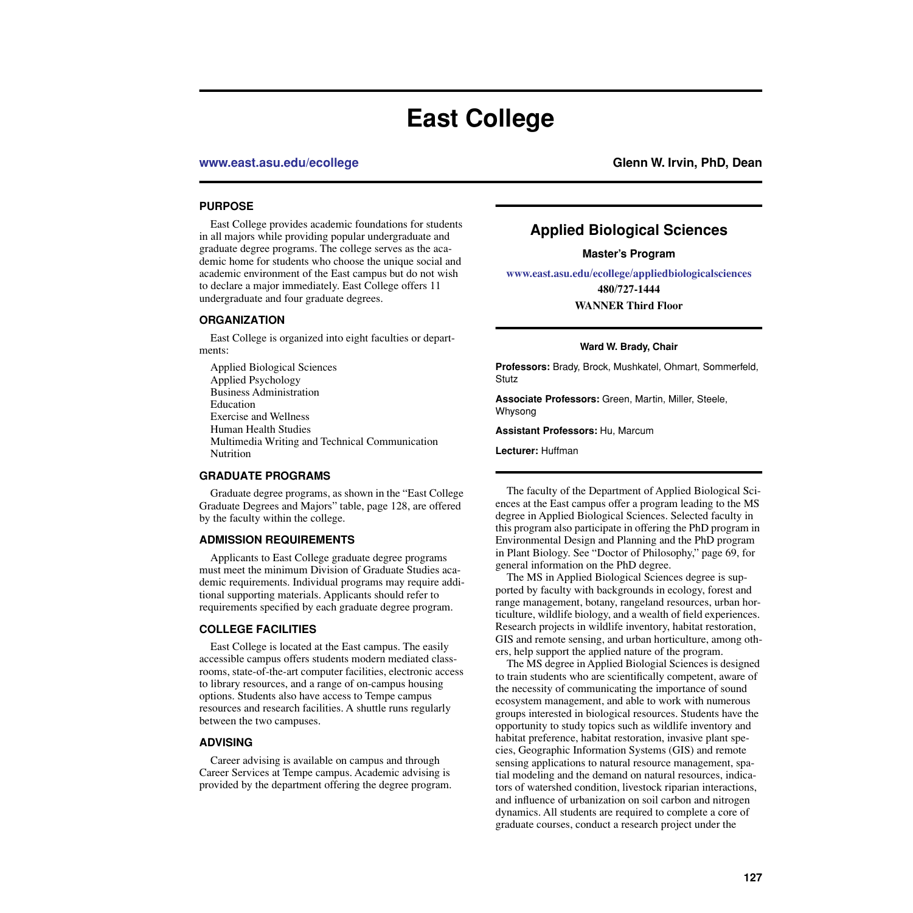# **East College**

**[www.east.asu.edu/ecollege](http://www.east.asu.edu/ecollege) Glenn W. Irvin, PhD, Dean**

### **PURPOSE**

East College provides academic foundations for students in all majors while providing popular undergraduate and graduate degree programs. The college serves as the academic home for students who choose the unique social and academic environment of the East campus but do not wish to declare a major immediately. East College offers 11 undergraduate and four graduate degrees.

### **ORGANIZATION**

East College is organized into eight faculties or departments:

Applied Biological Sciences Applied Psychology Business Administration Education Exercise and Wellness Human Health Studies Multimedia Writing and Technical Communication Nutrition

### **GRADUATE PROGRAMS**

Graduate degree programs, as shown in the ["East College](#page-1-0)  [Graduate Degrees and Majors" table, page 128,](#page-1-0) are offered by the faculty within the college.

### **ADMISSION REQUIREMENTS**

Applicants to East College graduate degree programs must meet the minimum Division of Graduate Studies academic requirements. Individual programs may require additional supporting materials. Applicants should refer to requirements specified by each graduate degree program.

### **COLLEGE FACILITIES**

East College is located at the East campus. The easily accessible campus offers students modern mediated classrooms, state-of-the-art computer facilities, electronic access to library resources, and a range of on-campus housing options. Students also have access to Tempe campus resources and research facilities. A shuttle runs regularly between the two campuses.

### **ADVISING**

Career advising is available on campus and through Career Services at Tempe campus. Academic advising is provided by the department offering the degree program.

## **Applied Biological Sciences**

**Master's Program**

**[www.east.asu.edu/ecollege/appliedbiologicalsciences](http://www.east.asu.edu/ecollege/appliedbiologicalsciences/) 480/727-1444**

**WANNER Third Floor**

### **Ward W. Brady, Chair**

**Professors:** Brady, Brock, Mushkatel, Ohmart, Sommerfeld, Stutz

**Associate Professors:** Green, Martin, Miller, Steele, Whysong

**Assistant Professors:** Hu, Marcum

**Lecturer:** Huffman

The faculty of the Department of Applied Biological Sciences at the East campus offer a program leading to the MS degree in Applied Biological Sciences. Selected faculty in this program also participate in offering the PhD program in Environmental Design and Planning and the PhD program in Plant Biology. See "Doctor of Philosophy," page 69, for general information on the PhD degree.

The MS in Applied Biological Sciences degree is supported by faculty with backgrounds in ecology, forest and range management, botany, rangeland resources, urban horticulture, wildlife biology, and a wealth of field experiences. Research projects in wildlife inventory, habitat restoration, GIS and remote sensing, and urban horticulture, among others, help support the applied nature of the program.

The MS degree in Applied Biologial Sciences is designed to train students who are scientifically competent, aware of the necessity of communicating the importance of sound ecosystem management, and able to work with numerous groups interested in biological resources. Students have the opportunity to study topics such as wildlife inventory and habitat preference, habitat restoration, invasive plant species, Geographic Information Systems (GIS) and remote sensing applications to natural resource management, spatial modeling and the demand on natural resources, indicators of watershed condition, livestock riparian interactions, and influence of urbanization on soil carbon and nitrogen dynamics. All students are required to complete a core of graduate courses, conduct a research project under the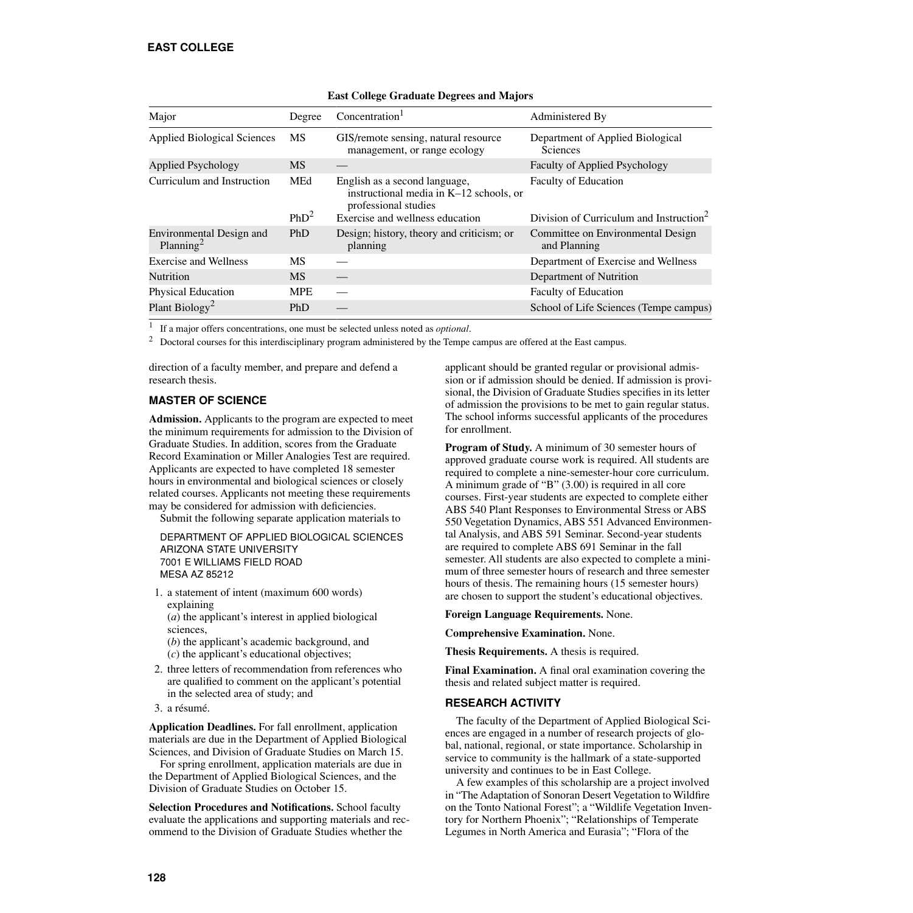<span id="page-1-0"></span>

| Major                                             | Degree           | Concentration <sup>1</sup>                                                                       | Administered By                                     |
|---------------------------------------------------|------------------|--------------------------------------------------------------------------------------------------|-----------------------------------------------------|
| <b>Applied Biological Sciences</b>                | MS               | GIS/remote sensing, natural resource<br>management, or range ecology                             | Department of Applied Biological<br><b>Sciences</b> |
| <b>Applied Psychology</b>                         | <b>MS</b>        |                                                                                                  | <b>Faculty of Applied Psychology</b>                |
| Curriculum and Instruction                        | MEd              | English as a second language,<br>instructional media in K-12 schools, or<br>professional studies | <b>Faculty of Education</b>                         |
|                                                   | PhD <sup>2</sup> | Exercise and wellness education                                                                  | Division of Curriculum and Instruction <sup>2</sup> |
| Environmental Design and<br>Planning <sup>2</sup> | PhD              | Design; history, theory and criticism; or<br>planning                                            | Committee on Environmental Design<br>and Planning   |
| Exercise and Wellness                             | MS               |                                                                                                  | Department of Exercise and Wellness                 |
| <b>Nutrition</b>                                  | <b>MS</b>        |                                                                                                  | Department of Nutrition                             |
| <b>Physical Education</b>                         | <b>MPE</b>       |                                                                                                  | <b>Faculty of Education</b>                         |
| Plant Biology <sup>2</sup>                        | <b>PhD</b>       |                                                                                                  | School of Life Sciences (Tempe campus)              |
|                                                   |                  |                                                                                                  |                                                     |

### **East College Graduate Degrees and Majors**

<sup>1</sup> If a major offers concentrations, one must be selected unless noted as *optional*.

<sup>2</sup> Doctoral courses for this interdisciplinary program administered by the Tempe campus are offered at the East campus.

direction of a faculty member, and prepare and defend a research thesis.

### **MASTER OF SCIENCE**

**Admission.** Applicants to the program are expected to meet the minimum requirements for admission to the Division of Graduate Studies. In addition, scores from the Graduate Record Examination or Miller Analogies Test are required. Applicants are expected to have completed 18 semester hours in environmental and biological sciences or closely related courses. Applicants not meeting these requirements may be considered for admission with deficiencies.

Submit the following separate application materials to

DEPARTMENT OF APPLIED BIOLOGICAL SCIENCES ARIZONA STATE UNIVERSITY 7001 E WILLIAMS FIELD ROAD MESA AZ 85212

1. a statement of intent (maximum 600 words) explaining

(*a*) the applicant's interest in applied biological sciences,

(*b*) the applicant's academic background, and (*c*) the applicant's educational objectives;

- 2. three letters of recommendation from references who are qualified to comment on the applicant's potential in the selected area of study; and
- 3. a résumé.

**Application Deadlines.** For fall enrollment, application materials are due in the Department of Applied Biological Sciences, and Division of Graduate Studies on March 15.

For spring enrollment, application materials are due in the Department of Applied Biological Sciences, and the Division of Graduate Studies on October 15.

**Selection Procedures and Notifications.** School faculty evaluate the applications and supporting materials and recommend to the Division of Graduate Studies whether the

applicant should be granted regular or provisional admission or if admission should be denied. If admission is provisional, the Division of Graduate Studies specifies in its letter of admission the provisions to be met to gain regular status. The school informs successful applicants of the procedures for enrollment.

**Program of Study.** A minimum of 30 semester hours of approved graduate course work is required. All students are required to complete a nine-semester-hour core curriculum. A minimum grade of "B" (3.00) is required in all core courses. First-year students are expected to complete either ABS 540 Plant Responses to Environmental Stress or ABS 550 Vegetation Dynamics, ABS 551 Advanced Environmental Analysis, and ABS 591 Seminar. Second-year students are required to complete ABS 691 Seminar in the fall semester. All students are also expected to complete a minimum of three semester hours of research and three semester hours of thesis. The remaining hours (15 semester hours) are chosen to support the student's educational objectives.

### **Foreign Language Requirements.** None.

**Comprehensive Examination.** None.

**Thesis Requirements.** A thesis is required.

**Final Examination.** A final oral examination covering the thesis and related subject matter is required.

### **RESEARCH ACTIVITY**

The faculty of the Department of Applied Biological Sciences are engaged in a number of research projects of global, national, regional, or state importance. Scholarship in service to community is the hallmark of a state-supported university and continues to be in East College.

A few examples of this scholarship are a project involved in "The Adaptation of Sonoran Desert Vegetation to Wildfire on the Tonto National Forest"; a "Wildlife Vegetation Inventory for Northern Phoenix"; "Relationships of Temperate Legumes in North America and Eurasia"; "Flora of the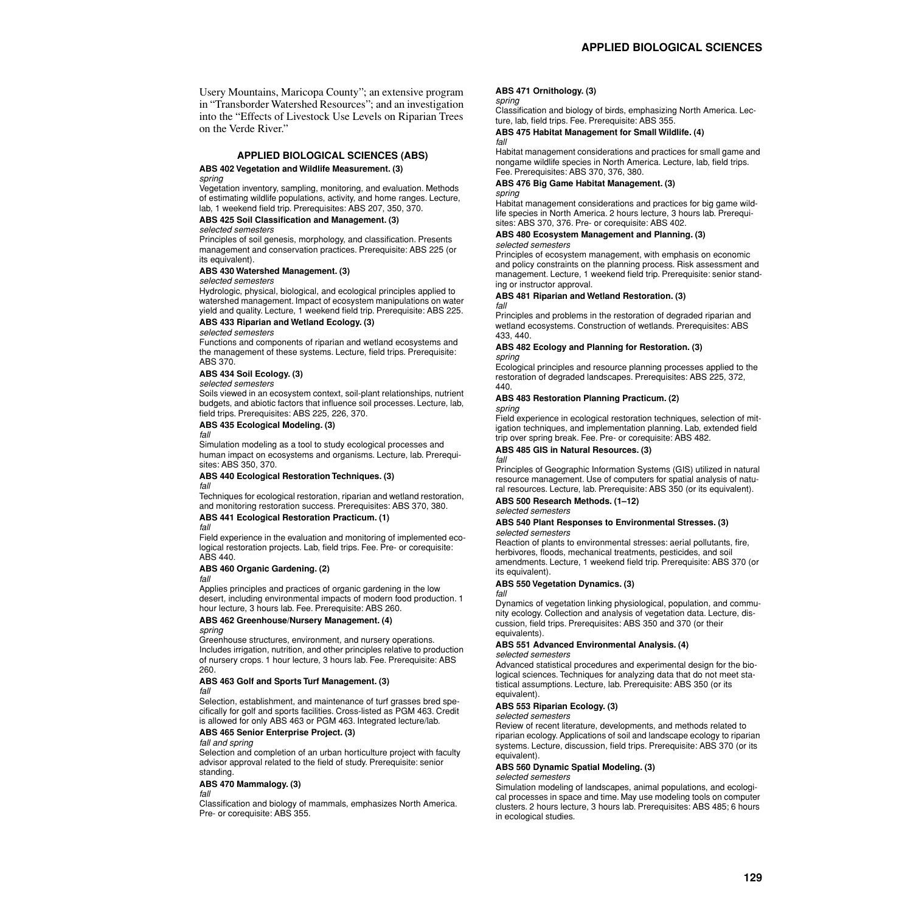Usery Mountains, Maricopa County"; an extensive program in "Transborder Watershed Resources"; and an investigation into the "Effects of Livestock Use Levels on Riparian Trees on the Verde River"

### **APPLIED BIOLOGICAL SCIENCES (ABS)**

### **ABS 402 Vegetation and Wildlife Measurement. (3)**

*spring*

Vegetation inventory, sampling, monitoring, and evaluation. Methods of estimating wildlife populations, activity, and home ranges. Lecture, lab, 1 weekend field trip. Prerequisites: ABS 207, 350, 370.

### **ABS 425 Soil Classification and Management. (3)**

*selected semesters*

Principles of soil genesis, morphology, and classification. Presents management and conservation practices. Prerequisite: ABS 225 (or its equivalent).

### **ABS 430 Watershed Management. (3)**

*selected semesters*

Hydrologic, physical, biological, and ecological principles applied to watershed management. Impact of ecosystem manipulations on water yield and quality. Lecture, 1 weekend field trip. Prerequisite: ABS 225.

### **ABS 433 Riparian and Wetland Ecology. (3)**

*selected semesters*

Functions and components of riparian and wetland ecosystems and the management of these systems. Lecture, field trips. Prerequisite: ABS 370.

### **ABS 434 Soil Ecology. (3)**

### *selected semesters*

Soils viewed in an ecosystem context, soil-plant relationships, nutrient budgets, and abiotic factors that influence soil processes. Lecture, lab, field trips. Prerequisites: ABS 225, 226, 370.

### **ABS 435 Ecological Modeling. (3)**

*fall*

Simulation modeling as a tool to study ecological processes and human impact on ecosystems and organisms. Lecture, lab. Prerequisites: ABS 350, 370.

### **ABS 440 Ecological Restoration Techniques. (3)**

*fall*

Techniques for ecological restoration, riparian and wetland restoration, and monitoring restoration success. Prerequisites: ABS 370, 380.

#### **ABS 441 Ecological Restoration Practicum. (1)** *fall*

Field experience in the evaluation and monitoring of implemented ecological restoration projects. Lab, field trips. Fee. Pre- or corequisite: ABS 440.

### **ABS 460 Organic Gardening. (2)**

*fall*

Applies principles and practices of organic gardening in the low desert, including environmental impacts of modern food production. 1 hour lecture, 3 hours lab. Fee. Prerequisite: ABS 260.

#### **ABS 462 Greenhouse/Nursery Management. (4)** *spring*

Greenhouse structures, environment, and nursery operations. Includes irrigation, nutrition, and other principles relative to production of nursery crops. 1 hour lecture, 3 hours lab. Fee. Prerequisite: ABS 260.

#### **ABS 463 Golf and Sports Turf Management. (3)** *fall*

Selection, establishment, and maintenance of turf grasses bred specifically for golf and sports facilities. Cross-listed as PGM 463. Credit is allowed for only ABS 463 or PGM 463. Integrated lecture/lab.

### **ABS 465 Senior Enterprise Project. (3)**

*fall and spring*

Selection and completion of an urban horticulture project with faculty advisor approval related to the field of study. Prerequisite: senior standing.

### **ABS 470 Mammalogy. (3)**

### *fall*

Classification and biology of mammals, emphasizes North America. Pre- or corequisite: ABS 355.

### **ABS 471 Ornithology. (3)**

#### *spring*

Classification and biology of birds, emphasizing North America. Lecture, lab, field trips. Fee. Prerequisite: ABS 355.

#### **ABS 475 Habitat Management for Small Wildlife. (4)** *fall*

Habitat management considerations and practices for small game and nongame wildlife species in North America. Lecture, lab, field trips. Fee. Prerequisites: ABS 370, 376, 380.

### **ABS 476 Big Game Habitat Management. (3)**

### *spring*

Habitat management considerations and practices for big game wildlife species in North America. 2 hours lecture, 3 hours lab. Prerequisites: ABS 370, 376. Pre- or corequisite: ABS 402.

### **ABS 480 Ecosystem Management and Planning. (3)**

### *selected semesters*

Principles of ecosystem management, with emphasis on economic and policy constraints on the planning process. Risk assessment and management. Lecture, 1 weekend field trip. Prerequisite: senior standing or instructor approval.

### **ABS 481 Riparian and Wetland Restoration. (3)**

#### *fall*

Principles and problems in the restoration of degraded riparian and wetland ecosystems. Construction of wetlands. Prerequisites: ABS 433, 440.

#### **ABS 482 Ecology and Planning for Restoration. (3)** *spring*

Ecological principles and resource planning processes applied to the restoration of degraded landscapes. Prerequisites: ABS 225, 372, 440.

#### **ABS 483 Restoration Planning Practicum. (2)** *spring*

Field experience in ecological restoration techniques, selection of mitigation techniques, and implementation planning. Lab, extended field trip over spring break. Fee. Pre- or corequisite: ABS 482.

### **ABS 485 GIS in Natural Resources. (3)**

*fall*

Principles of Geographic Information Systems (GIS) utilized in natural resource management. Use of computers for spatial analysis of natural resources. Lecture, lab. Prerequisite: ABS 350 (or its equivalent).

#### **ABS 500 Research Methods. (1–12)** *selected semesters*

### **ABS 540 Plant Responses to Environmental Stresses. (3)** *selected semesters*

Reaction of plants to environmental stresses: aerial pollutants, fire, herbivores, floods, mechanical treatments, pesticides, and soil amendments. Lecture, 1 weekend field trip. Prerequisite: ABS 370 (or its equivalent).

### **ABS 550 Vegetation Dynamics. (3)**

*fall*

Dynamics of vegetation linking physiological, population, and community ecology. Collection and analysis of vegetation data. Lecture, discussion, field trips. Prerequisites: ABS 350 and 370 (or their equivalents).

### **ABS 551 Advanced Environmental Analysis. (4)**

### *selected semesters*

Advanced statistical procedures and experimental design for the biological sciences. Techniques for analyzing data that do not meet statistical assumptions. Lecture, lab. Prerequisite: ABS 350 (or its equivalent).

### **ABS 553 Riparian Ecology. (3)**

#### *selected semesters*

Review of recent literature, developments, and methods related to riparian ecology. Applications of soil and landscape ecology to riparian systems. Lecture, discussion, field trips. Prerequisite: ABS 370 (or its equivalent).

### **ABS 560 Dynamic Spatial Modeling. (3)**

#### *selected semesters*

Simulation modeling of landscapes, animal populations, and ecological processes in space and time. May use modeling tools on computer clusters. 2 hours lecture, 3 hours lab. Prerequisites: ABS 485; 6 hours in ecological studies.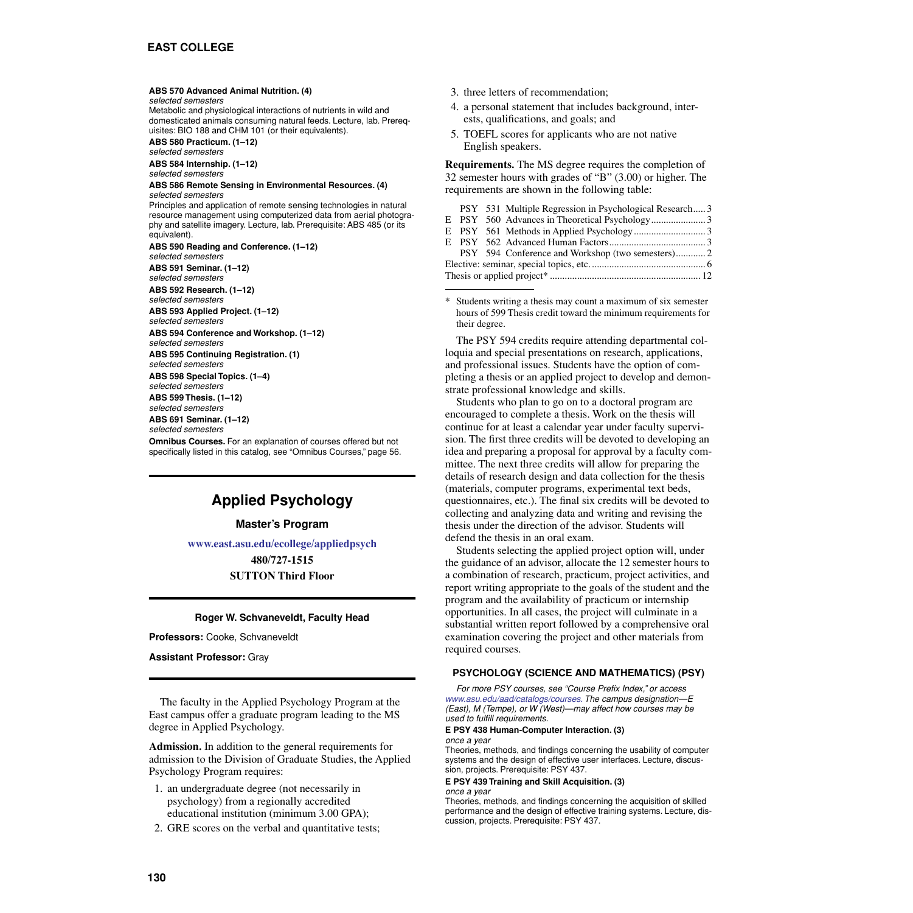### **ABS 570 Advanced Animal Nutrition. (4)**

*selected semesters*

Metabolic and physiological interactions of nutrients in wild and domesticated animals consuming natural feeds. Lecture, lab. Prerequisites: BIO 188 and CHM 101 (or their equivalents).

**ABS 580 Practicum. (1–12)** *selected semesters*

**ABS 584 Internship. (1–12)** *selected semesters*

#### **ABS 586 Remote Sensing in Environmental Resources. (4)** *selected semesters*

Principles and application of remote sensing technologies in natural resource management using computerized data from aerial photography and satellite imagery. Lecture, lab. Prerequisite: ABS 485 (or its equivalent).

**ABS 590 Reading and Conference. (1–12)** *selected semesters*

**ABS 591 Seminar. (1–12)**

*selected semesters*

**ABS 592 Research. (1–12)** *selected semesters*

**ABS 593 Applied Project. (1–12)**

*selected semesters* **ABS 594 Conference and Workshop. (1–12)**

*selected semesters*

**ABS 595 Continuing Registration. (1)** *selected semesters*

**ABS 598 Special Topics. (1–4)** *selected semesters*

**ABS 599 Thesis. (1–12)**

*selected semesters*

**ABS 691 Seminar. (1–12)**

*selected semesters*

**Omnibus Courses.** For an explanation of courses offered but not specifically listed in this catalog, see "Omnibus Courses," page 56.

## **Applied Psychology**

### **Master's Program**

**[www.east.asu.edu/ecollege/appliedpsych](http://www.east.asu.edu/ecollege/appliedpsych)**

**480/727-1515 SUTTON Third Floor**

### **Roger W. Schvaneveldt, Faculty Head**

**Professors:** Cooke, Schvaneveldt

**Assistant Professor:** Gray

The faculty in the Applied Psychology Program at the East campus offer a graduate program leading to the MS degree in Applied Psychology.

**Admission.** In addition to the general requirements for admission to the Division of Graduate Studies, the Applied Psychology Program requires:

- 1. an undergraduate degree (not necessarily in psychology) from a regionally accredited educational institution (minimum 3.00 GPA);
- 2. GRE scores on the verbal and quantitative tests;
- 3. three letters of recommendation;
- 4. a personal statement that includes background, interests, qualifications, and goals; and
- 5. TOEFL scores for applicants who are not native English speakers.

**Requirements.** The MS degree requires the completion of 32 semester hours with grades of "B" (3.00) or higher. The requirements are shown in the following table:

|  |  |  | PSY 531 Multiple Regression in Psychological Research 3 |  |
|--|--|--|---------------------------------------------------------|--|
|  |  |  |                                                         |  |
|  |  |  |                                                         |  |
|  |  |  |                                                         |  |
|  |  |  |                                                         |  |
|  |  |  |                                                         |  |
|  |  |  |                                                         |  |

Students writing a thesis may count a maximum of six semester hours of 599 Thesis credit toward the minimum requirements for their degree.

The PSY 594 credits require attending departmental colloquia and special presentations on research, applications, and professional issues. Students have the option of completing a thesis or an applied project to develop and demonstrate professional knowledge and skills.

Students who plan to go on to a doctoral program are encouraged to complete a thesis. Work on the thesis will continue for at least a calendar year under faculty supervision. The first three credits will be devoted to developing an idea and preparing a proposal for approval by a faculty committee. The next three credits will allow for preparing the details of research design and data collection for the thesis (materials, computer programs, experimental text beds, questionnaires, etc.). The final six credits will be devoted to collecting and analyzing data and writing and revising the thesis under the direction of the advisor. Students will defend the thesis in an oral exam.

Students selecting the applied project option will, under the guidance of an advisor, allocate the 12 semester hours to a combination of research, practicum, project activities, and report writing appropriate to the goals of the student and the program and the availability of practicum or internship opportunities. In all cases, the project will culminate in a substantial written report followed by a comprehensive oral examination covering the project and other materials from required courses.

### **PSYCHOLOGY (SCIENCE AND MATHEMATICS) (PSY)**

*For more PSY courses, see "Course Prefix Index," or access [www.asu.edu/aad/catalogs/courses.](http://www.asu.edu/aad/catalogs/courses) The campus designation—E (East), M (Tempe), or W (West)—may affect how courses may be used to fulfill requirements.* 

**E PSY 438 Human-Computer Interaction. (3)** *once a year*

Theories, methods, and findings concerning the usability of computer systems and the design of effective user interfaces. Lecture, discussion, projects. Prerequisite: PSY 437.

**E PSY 439 Training and Skill Acquisition. (3)** *once a year*

Theories, methods, and findings concerning the acquisition of skilled performance and the design of effective training systems. Lecture, discussion, projects. Prerequisite: PSY 437.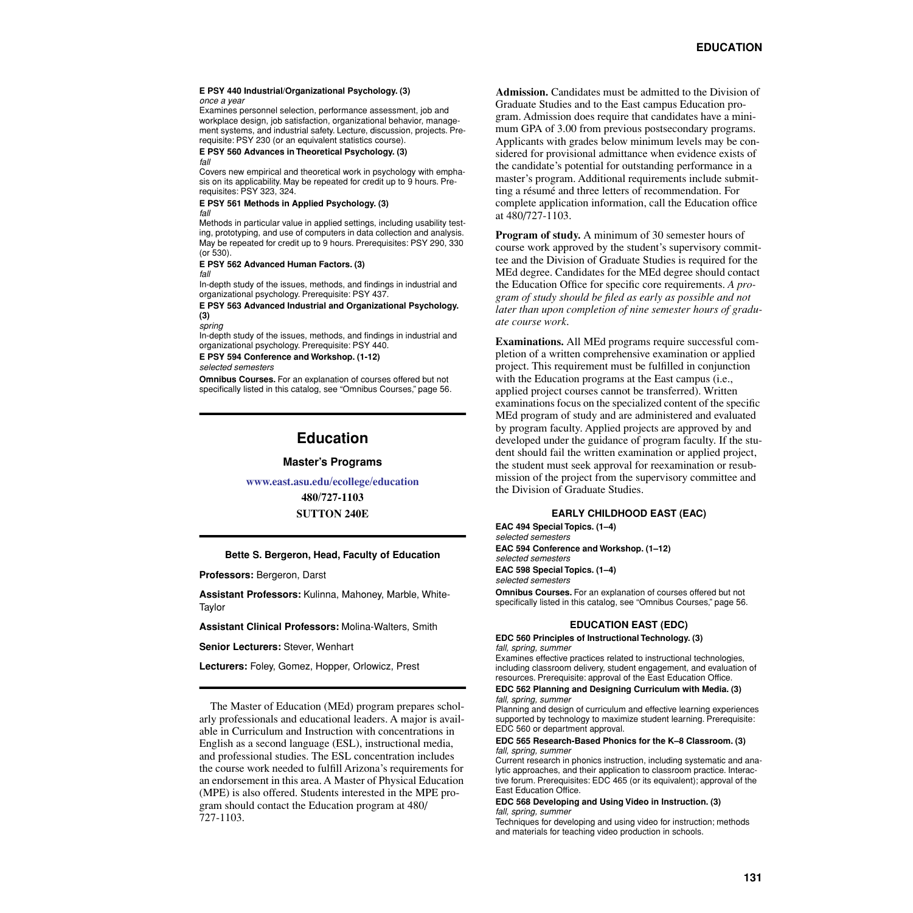#### **E PSY 440 Industrial/Organizational Psychology. (3)** *once a year*

Examines personnel selection, performance assessment, job and workplace design, job satisfaction, organizational behavior, management systems, and industrial safety. Lecture, discussion, projects. Prerequisite: PSY 230 (or an equivalent statistics course).

#### **E PSY 560 Advances in Theoretical Psychology. (3)** *fall*

Covers new empirical and theoretical work in psychology with emphasis on its applicability. May be repeated for credit up to 9 hours. Prerequisites: PSY 323, 324.

#### **E PSY 561 Methods in Applied Psychology. (3)** *fall*

Methods in particular value in applied settings, including usability testing, prototyping, and use of computers in data collection and analysis. May be repeated for credit up to 9 hours. Prerequisites: PSY 290, 330 (or 530).

#### **E PSY 562 Advanced Human Factors. (3)** *fall*

In-depth study of the issues, methods, and findings in industrial and organizational psychology. Prerequisite: PSY 437.

### **E PSY 563 Advanced Industrial and Organizational Psychology. (3)**

*spring*

In-depth study of the issues, methods, and findings in industrial and organizational psychology. Prerequisite: PSY 440.

**E PSY 594 Conference and Workshop. (1-12)**

*selected semesters*

**Omnibus Courses.** For an explanation of courses offered but not specifically listed in this catalog, see "Omnibus Courses," page 56.

# **Education**

### **Master's Programs**

**[www.east.asu.edu/ecollege/education](http://www.east.asu.edu/ecollege/education)**

**480/727-1103 SUTTON 240E**

### **Bette S. Bergeron, Head, Faculty of Education**

**Professors:** Bergeron, Darst

**Assistant Professors:** Kulinna, Mahoney, Marble, White-**Taylor** 

**Assistant Clinical Professors:** Molina-Walters, Smith

**Senior Lecturers:** Stever, Wenhart

**Lecturers:** Foley, Gomez, Hopper, Orlowicz, Prest

The Master of Education (MEd) program prepares scholarly professionals and educational leaders. A major is available in Curriculum and Instruction with concentrations in English as a second language (ESL), instructional media, and professional studies. The ESL concentration includes the course work needed to fulfill Arizona's requirements for an endorsement in this area. A Master of Physical Education (MPE) is also offered. Students interested in the MPE program should contact the Education program at 480/ 727-1103.

**Admission.** Candidates must be admitted to the Division of Graduate Studies and to the East campus Education program. Admission does require that candidates have a minimum GPA of 3.00 from previous postsecondary programs. Applicants with grades below minimum levels may be considered for provisional admittance when evidence exists of the candidate's potential for outstanding performance in a master's program. Additional requirements include submitting a résumé and three letters of recommendation. For complete application information, call the Education office at 480/727-1103.

**Program of study.** A minimum of 30 semester hours of course work approved by the student's supervisory committee and the Division of Graduate Studies is required for the MEd degree. Candidates for the MEd degree should contact the Education Office for specific core requirements. *A program of study should be filed as early as possible and not later than upon completion of nine semester hours of graduate course work*.

**Examinations.** All MEd programs require successful completion of a written comprehensive examination or applied project. This requirement must be fulfilled in conjunction with the Education programs at the East campus (i.e., applied project courses cannot be transferred). Written examinations focus on the specialized content of the specific MEd program of study and are administered and evaluated by program faculty. Applied projects are approved by and developed under the guidance of program faculty. If the student should fail the written examination or applied project, the student must seek approval for reexamination or resubmission of the project from the supervisory committee and the Division of Graduate Studies.

### **EARLY CHILDHOOD EAST (EAC)**

**EAC 494 Special Topics. (1–4)** *selected semesters*

**EAC 594 Conference and Workshop. (1–12)**

*selected semesters*

**EAC 598 Special Topics. (1–4)**

*selected semesters*

**Omnibus Courses.** For an explanation of courses offered but not specifically listed in this catalog, see "Omnibus Courses," page 56.

### **EDUCATION EAST (EDC)**

**EDC 560 Principles of Instructional Technology. (3)** *fall, spring, summer*

Examines effective practices related to instructional technologies, including classroom delivery, student engagement, and evaluation of resources. Prerequisite: approval of the East Education Office.

#### **EDC 562 Planning and Designing Curriculum with Media. (3)** *fall, spring, summer*

Planning and design of curriculum and effective learning experiences supported by technology to maximize student learning. Prerequisite: EDC 560 or department approval.

#### **EDC 565 Research-Based Phonics for the K–8 Classroom. (3)** *fall, spring, summer*

Current research in phonics instruction, including systematic and analytic approaches, and their application to classroom practice. Interactive forum. Prerequisites: EDC 465 (or its equivalent); approval of the East Education Office.

#### **EDC 568 Developing and Using Video in Instruction. (3)** *fall, spring, summer*

Techniques for developing and using video for instruction; methods and materials for teaching video production in schools.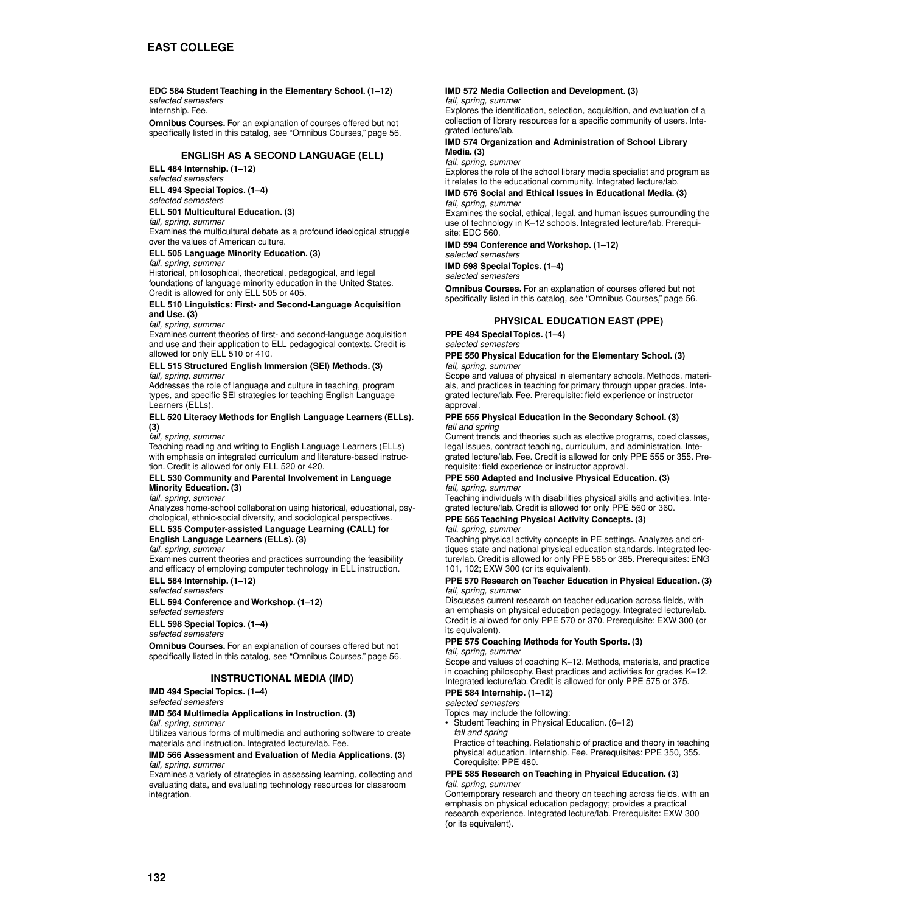### **EDC 584 Student Teaching in the Elementary School. (1–12)**

*selected semesters* Internship. Fee.

**Omnibus Courses.** For an explanation of courses offered but not specifically listed in this catalog, see "Omnibus Courses," page 56.

### **ENGLISH AS A SECOND LANGUAGE (ELL)**

**ELL 484 Internship. (1–12)** *selected semesters*

**ELL 494 Special Topics. (1–4)**

### *selected semesters*

### **ELL 501 Multicultural Education. (3)**

*fall, spring, summer*

Examines the multicultural debate as a profound ideological struggle over the values of American culture.

### **ELL 505 Language Minority Education. (3)**

*fall, spring, summer*

Historical, philosophical, theoretical, pedagogical, and legal foundations of language minority education in the United States. Credit is allowed for only ELL 505 or 405.

### **ELL 510 Linguistics: First- and Second-Language Acquisition and Use. (3)**

*fall, spring, summer*

Examines current theories of first- and second-language acquisition and use and their application to ELL pedagogical contexts. Credit is allowed for only ELL 510 or 410.

# **ELL 515 Structured English Immersion (SEI) Methods. (3)**

*fall, spring, summer*

Addresses the role of language and culture in teaching, program types, and specific SEI strategies for teaching English Language Learners (ELLs).

#### **ELL 520 Literacy Methods for English Language Learners (ELLs). (3)**

*fall, spring, summer*

Teaching reading and writing to English Language Learners (ELLs) with emphasis on integrated curriculum and literature-based instruction. Credit is allowed for only ELL 520 or 420.

### **ELL 530 Community and Parental Involvement in Language Minority Education. (3)**

*fall, spring, summer*

Analyzes home-school collaboration using historical, educational, psychological, ethnic-social diversity, and sociological perspectives.

#### **ELL 535 Computer-assisted Language Learning (CALL) for English Language Learners (ELLs). (3)**

*fall, spring, summer*

Examines current theories and practices surrounding the feasibility and efficacy of employing computer technology in ELL instruction.

**ELL 584 Internship. (1–12)**

### *selected semesters* **ELL 594 Conference and Workshop. (1–12)**

*selected semesters*

**ELL 598 Special Topics. (1–4)**

*selected semesters*

**Omnibus Courses.** For an explanation of courses offered but not specifically listed in this catalog, see "Omnibus Courses," page 56.

### **INSTRUCTIONAL MEDIA (IMD)**

**IMD 494 Special Topics. (1–4)**

### *selected semesters*

### **IMD 564 Multimedia Applications in Instruction. (3)**

*fall, spring, summer* Utilizes various forms of multimedia and authoring software to create materials and instruction. Integrated lecture/lab. Fee.

### **IMD 566 Assessment and Evaluation of Media Applications. (3)** *fall, spring, summer*

Examines a variety of strategies in assessing learning, collecting and evaluating data, and evaluating technology resources for classroom integration.

### **IMD 572 Media Collection and Development. (3)**

### *fall, spring, summer*

Explores the identification, selection, acquisition, and evaluation of a collection of library resources for a specific community of users. Integrated lecture/lab.

#### **IMD 574 Organization and Administration of School Library Media. (3)**

*fall, spring, summer*

Explores the role of the school library media specialist and program as it relates to the educational community. Integrated lecture/lab.

### **IMD 576 Social and Ethical Issues in Educational Media. (3)** *fall, spring, summer*

Examines the social, ethical, legal, and human issues surrounding the use of technology in K–12 schools. Integrated lecture/lab. Prerequisite: EDC 560.

**IMD 594 Conference and Workshop. (1–12)**

*selected semesters*

**IMD 598 Special Topics. (1–4)**

*selected semesters*

**Omnibus Courses.** For an explanation of courses offered but not specifically listed in this catalog, see "Omnibus Courses," page 56.

### **PHYSICAL EDUCATION EAST (PPE)**

**PPE 494 Special Topics. (1–4)** 

### *selected semesters*

#### **PPE 550 Physical Education for the Elementary School. (3)** *fall, spring, summer*

Scope and values of physical in elementary schools. Methods, materials, and practices in teaching for primary through upper grades. Integrated lecture/lab. Fee. Prerequisite: field experience or instructor approval.

### **PPE 555 Physical Education in the Secondary School. (3)** *fall and spring*

Current trends and theories such as elective programs, coed classes, legal issues, contract teaching, curriculum, and administration. Integrated lecture/lab. Fee. Credit is allowed for only PPE 555 or 355. Prerequisite: field experience or instructor approval.

### **PPE 560 Adapted and Inclusive Physical Education. (3)** *fall, spring, summer*

Teaching individuals with disabilities physical skills and activities. Integrated lecture/lab. Credit is allowed for only PPE 560 or 360.

#### **PPE 565 Teaching Physical Activity Concepts. (3)** *fall, spring, summer*

Teaching physical activity concepts in PE settings. Analyzes and critiques state and national physical education standards. Integrated lecture/lab. Credit is allowed for only PPE 565 or 365. Prerequisites: ENG 101, 102; EXW 300 (or its equivalent).

### **PPE 570 Research on Teacher Education in Physical Education. (3)** *fall, spring, summer*

Discusses current research on teacher education across fields, with an emphasis on physical education pedagogy. Integrated lecture/lab. Credit is allowed for only PPE 570 or 370. Prerequisite: EXW 300 (or its equivalent).

### **PPE 575 Coaching Methods for Youth Sports. (3)**

*fall, spring, summer*

Scope and values of coaching K–12. Methods, materials, and practice in coaching philosophy. Best practices and activities for grades K–12. Integrated lecture/lab. Credit is allowed for only PPE 575 or 375.

## **PPE 584 Internship. (1–12)**

*selected semesters*

Topics may include the following:

• Student Teaching in Physical Education. (6–12) *fall and spring*

Practice of teaching. Relationship of practice and theory in teaching physical education. Internship. Fee. Prerequisites: PPE 350, 355. Corequisite: PPE 480.

### **PPE 585 Research on Teaching in Physical Education. (3)** *fall, spring, summer*

Contemporary research and theory on teaching across fields, with an emphasis on physical education pedagogy; provides a practical research experience. Integrated lecture/lab. Prerequisite: EXW 300 (or its equivalent).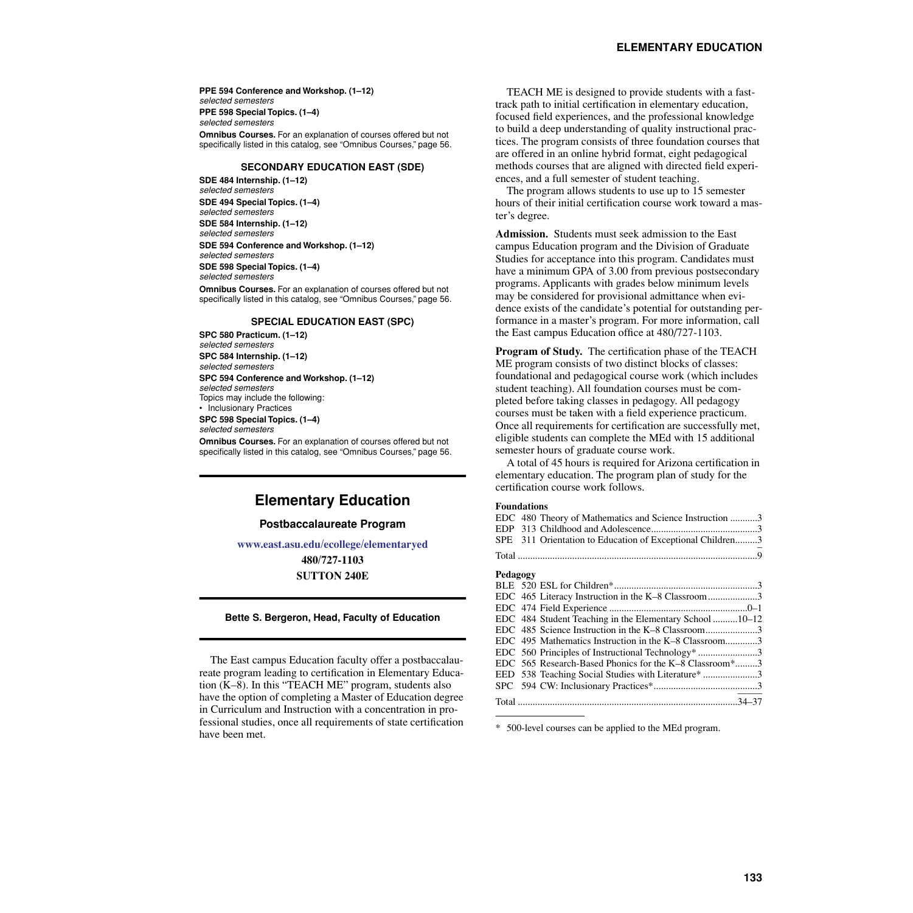**PPE 594 Conference and Workshop. (1–12)** *selected semesters* **PPE 598 Special Topics. (1–4)** *selected semesters* **Omnibus Courses.** For an explanation of courses offered but not specifically listed in this catalog, see "Omnibus Courses," page 56.

### **SECONDARY EDUCATION EAST (SDE)**

**SDE 484 Internship. (1–12)** *selected semesters* **SDE 494 Special Topics. (1–4)** *selected semesters* **SDE 584 Internship. (1–12)** *selected semesters* **SDE 594 Conference and Workshop. (1–12)** *selected semesters* **SDE 598 Special Topics. (1–4)** *selected semesters*

**Omnibus Courses.** For an explanation of courses offered but not specifically listed in this catalog, see "Omnibus Courses," page 56.

### **SPECIAL EDUCATION EAST (SPC)**

**SPC 580 Practicum. (1–12)** *selected semesters* **SPC 584 Internship. (1–12)** *selected semesters* **SPC 594 Conference and Workshop. (1–12)** *selected semesters* Topics may include the following: • Inclusionary Practices **SPC 598 Special Topics. (1–4)** *selected semesters* **Omnibus Courses.** For an explanation of courses offered but not

specifically listed in this catalog, see "Omnibus Courses," page 56.

## **Elementary Education**

### **Postbaccalaureate Program**

**[www.east.asu.edu/ecollege/elementaryed](http://www.east.asu.edu/ecollege/elementaryed)**

**480/727-1103 SUTTON 240E**

### **Bette S. Bergeron, Head, Faculty of Education**

The East campus Education faculty offer a postbaccalaureate program leading to certification in Elementary Education (K–8). In this "TEACH ME" program, students also have the option of completing a Master of Education degree in Curriculum and Instruction with a concentration in professional studies, once all requirements of state certification have been met.

TEACH ME is designed to provide students with a fasttrack path to initial certification in elementary education, focused field experiences, and the professional knowledge to build a deep understanding of quality instructional practices. The program consists of three foundation courses that are offered in an online hybrid format, eight pedagogical methods courses that are aligned with directed field experiences, and a full semester of student teaching.

The program allows students to use up to 15 semester hours of their initial certification course work toward a master's degree.

**Admission.** Students must seek admission to the East campus Education program and the Division of Graduate Studies for acceptance into this program. Candidates must have a minimum GPA of 3.00 from previous postsecondary programs. Applicants with grades below minimum levels may be considered for provisional admittance when evidence exists of the candidate's potential for outstanding performance in a master's program. For more information, call the East campus Education office at 480/727-1103.

**Program of Study.** The certification phase of the TEACH ME program consists of two distinct blocks of classes: foundational and pedagogical course work (which includes student teaching). All foundation courses must be completed before taking classes in pedagogy. All pedagogy courses must be taken with a field experience practicum. Once all requirements for certification are successfully met, eligible students can complete the MEd with 15 additional semester hours of graduate course work.

A total of 45 hours is required for Arizona certification in elementary education. The program plan of study for the certification course work follows.

#### **Foundations**

|          | EDC 480 Theory of Mathematics and Science Instruction 3   |  |
|----------|-----------------------------------------------------------|--|
|          |                                                           |  |
|          | SPE 311 Orientation to Education of Exceptional Children3 |  |
|          |                                                           |  |
| Pedagogy |                                                           |  |
|          |                                                           |  |
|          | EDC 465 Literacy Instruction in the K-8 Classroom3        |  |
|          |                                                           |  |
|          | EDC 484 Student Teaching in the Elementary School 10–12   |  |
|          | EDC 485 Science Instruction in the K-8 Classroom3         |  |
|          | EDC 495 Mathematics Instruction in the K-8 Classroom3     |  |
|          | EDC 560 Principles of Instructional Technology* 3         |  |
|          | EDC 565 Research-Based Phonics for the K-8 Classroom*3    |  |
|          | EED 538 Teaching Social Studies with Literature* 3        |  |
|          |                                                           |  |
|          |                                                           |  |

500-level courses can be applied to the MEd program.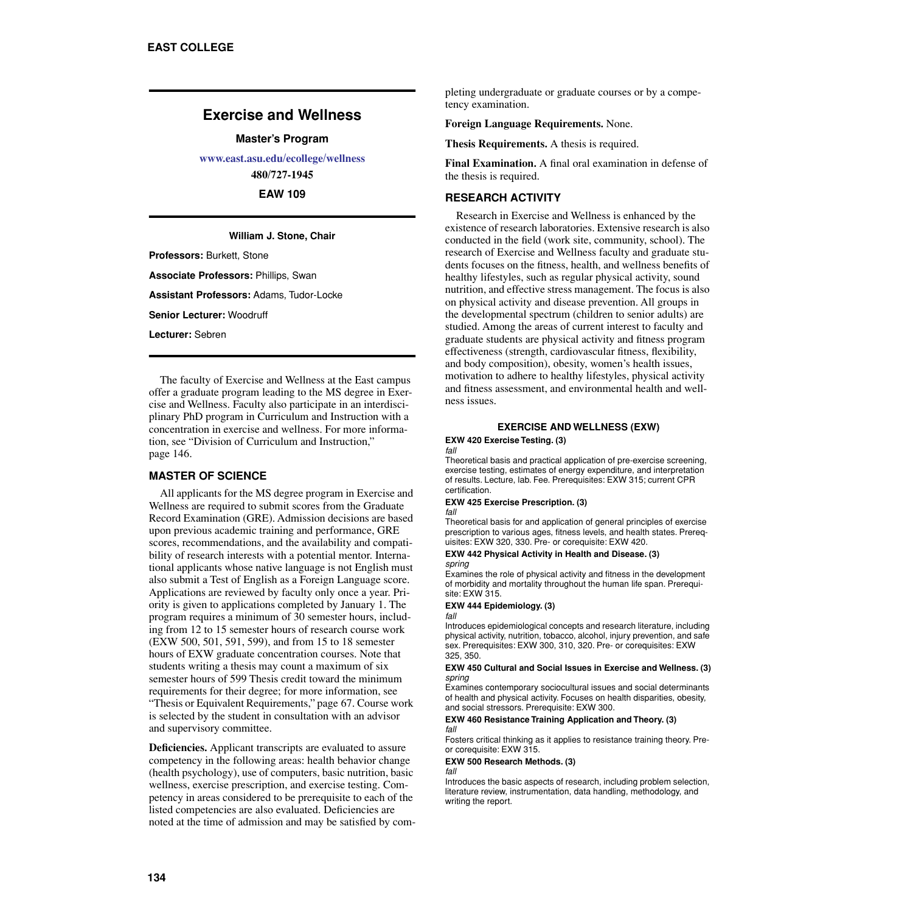## **Exercise and Wellness**

**Master's Program**

**[www.east.asu.edu/ecollege/wellness](http://www.east.asu.edu/ecollege/wellness)**

**480/727-1945**

**EAW 109**

### **William J. Stone, Chair**

**Professors:** Burkett, Stone

**Associate Professors:** Phillips, Swan

**Assistant Professors:** Adams, Tudor-Locke

**Senior Lecturer:** Woodruff

**Lecturer:** Sebren

The faculty of Exercise and Wellness at the East campus offer a graduate program leading to the MS degree in Exercise and Wellness. Faculty also participate in an interdisciplinary PhD program in Curriculum and Instruction with a concentration in exercise and wellness. For more information, see "Division of Curriculum and Instruction," page 146.

### **MASTER OF SCIENCE**

All applicants for the MS degree program in Exercise and Wellness are required to submit scores from the Graduate Record Examination (GRE). Admission decisions are based upon previous academic training and performance, GRE scores, recommendations, and the availability and compatibility of research interests with a potential mentor. International applicants whose native language is not English must also submit a Test of English as a Foreign Language score. Applications are reviewed by faculty only once a year. Priority is given to applications completed by January 1. The program requires a minimum of 30 semester hours, including from 12 to 15 semester hours of research course work (EXW 500, 501, 591, 599), and from 15 to 18 semester hours of EXW graduate concentration courses. Note that students writing a thesis may count a maximum of six semester hours of 599 Thesis credit toward the minimum requirements for their degree; for more information, see "Thesis or Equivalent Requirements," page 67. Course work is selected by the student in consultation with an advisor and supervisory committee.

**Deficiencies.** Applicant transcripts are evaluated to assure competency in the following areas: health behavior change (health psychology), use of computers, basic nutrition, basic wellness, exercise prescription, and exercise testing. Competency in areas considered to be prerequisite to each of the listed competencies are also evaluated. Deficiencies are noted at the time of admission and may be satisfied by completing undergraduate or graduate courses or by a competency examination.

**Foreign Language Requirements.** None.

**Thesis Requirements.** A thesis is required.

**Final Examination.** A final oral examination in defense of the thesis is required.

### **RESEARCH ACTIVITY**

Research in Exercise and Wellness is enhanced by the existence of research laboratories. Extensive research is also conducted in the field (work site, community, school). The research of Exercise and Wellness faculty and graduate students focuses on the fitness, health, and wellness benefits of healthy lifestyles, such as regular physical activity, sound nutrition, and effective stress management. The focus is also on physical activity and disease prevention. All groups in the developmental spectrum (children to senior adults) are studied. Among the areas of current interest to faculty and graduate students are physical activity and fitness program effectiveness (strength, cardiovascular fitness, flexibility, and body composition), obesity, women's health issues, motivation to adhere to healthy lifestyles, physical activity and fitness assessment, and environmental health and wellness issues.

### **EXERCISE AND WELLNESS (EXW)**

#### **EXW 420 Exercise Testing. (3)** *fall*

Theoretical basis and practical application of pre-exercise screening, exercise testing, estimates of energy expenditure, and interpretation of results. Lecture, lab. Fee. Prerequisites: EXW 315; current CPR certification.

#### **EXW 425 Exercise Prescription. (3)** *fall*

Theoretical basis for and application of general principles of exercise prescription to various ages, fitness levels, and health states. Prerequisites: EXW 320, 330. Pre- or corequisite: EXW 420.

#### **EXW 442 Physical Activity in Health and Disease. (3)** *spring*

Examines the role of physical activity and fitness in the development of morbidity and mortality throughout the human life span. Prerequisite: EXW 315.

#### **EXW 444 Epidemiology. (3)** *fall*

Introduces epidemiological concepts and research literature, including physical activity, nutrition, tobacco, alcohol, injury prevention, and safe sex. Prerequisites: EXW 300, 310, 320. Pre- or corequisites: EXW 325, 350.

#### **EXW 450 Cultural and Social Issues in Exercise and Wellness. (3)** *spring*

Examines contemporary sociocultural issues and social determinants of health and physical activity. Focuses on health disparities, obesity, and social stressors. Prerequisite: EXW 300.

#### **EXW 460 Resistance Training Application and Theory. (3)** *fall*

Fosters critical thinking as it applies to resistance training theory. Preor corequisite: EXW 315.

#### **EXW 500 Research Methods. (3)** *fall*

Introduces the basic aspects of research, including problem selection, literature review, instrumentation, data handling, methodology, and writing the report.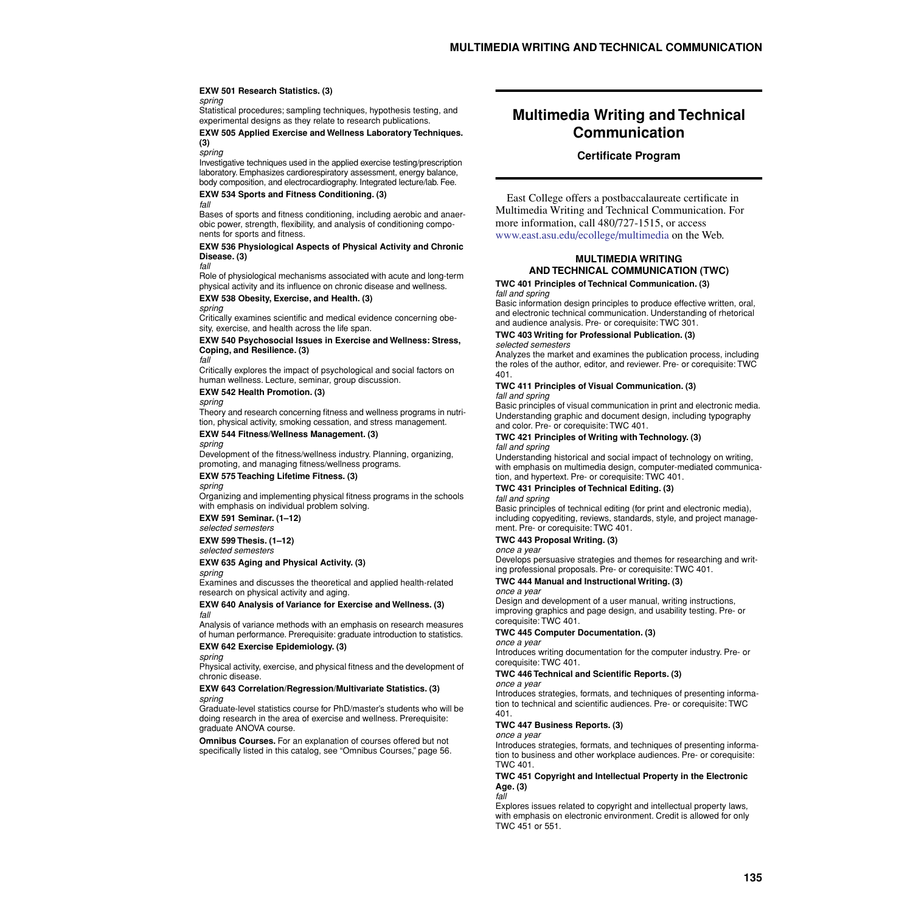### **EXW 501 Research Statistics. (3)**

#### *spring*

Statistical procedures; sampling techniques, hypothesis testing, and experimental designs as they relate to research publications.

### **EXW 505 Applied Exercise and Wellness Laboratory Techniques. (3)**

*spring*

Investigative techniques used in the applied exercise testing/prescription laboratory. Emphasizes cardiorespiratory assessment, energy balance, body composition, and electrocardiography. Integrated lecture/lab. Fee.

#### **EXW 534 Sports and Fitness Conditioning. (3)** *fall*

Bases of sports and fitness conditioning, including aerobic and anaerobic power, strength, flexibility, and analysis of conditioning components for sports and fitness.

#### **EXW 536 Physiological Aspects of Physical Activity and Chronic Disease. (3)**

*fall*

Role of physiological mechanisms associated with acute and long-term physical activity and its influence on chronic disease and wellness.

### **EXW 538 Obesity, Exercise, and Health. (3)**

*spring* Critically examines scientific and medical evidence concerning obesity, exercise, and health across the life span.

**EXW 540 Psychosocial Issues in Exercise and Wellness: Stress, Coping, and Resilience. (3)**

#### *fall*

Critically explores the impact of psychological and social factors on human wellness. Lecture, seminar, group discussion.

**EXW 542 Health Promotion. (3)**

### *spring*

Theory and research concerning fitness and wellness programs in nutrition, physical activity, smoking cessation, and stress management.

### **EXW 544 Fitness/Wellness Management. (3)**

*spring*

Development of the fitness/wellness industry. Planning, organizing, promoting, and managing fitness/wellness programs.

#### **EXW 575 Teaching Lifetime Fitness. (3)** *spring*

Organizing and implementing physical fitness programs in the schools with emphasis on individual problem solving.

**EXW 591 Seminar. (1–12)**

*selected semesters*

### **EXW 599 Thesis. (1–12)**

*selected semesters*

### **EXW 635 Aging and Physical Activity. (3)**

*spring*

Examines and discusses the theoretical and applied health-related research on physical activity and aging.

#### **EXW 640 Analysis of Variance for Exercise and Wellness. (3)** *fall*

Analysis of variance methods with an emphasis on research measures of human performance. Prerequisite: graduate introduction to statistics. **EXW 642 Exercise Epidemiology. (3)**

### *spring*

Physical activity, exercise, and physical fitness and the development of chronic disease.

#### **EXW 643 Correlation/Regression/Multivariate Statistics. (3)** *spring*

Graduate-level statistics course for PhD/master's students who will be doing research in the area of exercise and wellness. Prerequisite: graduate ANOVA course.

**Omnibus Courses.** For an explanation of courses offered but not specifically listed in this catalog, see "Omnibus Courses," page 56.

# **Multimedia Writing and Technical Communication**

### **Certificate Program**

East College offers a postbaccalaureate certificate in Multimedia Writing and Technical Communication. For more information, call 480/727-1515, or access [www.east.asu.edu/ecollege/multimedia](http://www.east.asu.edu/ecollege/multimedia) on the Web.

### **MULTIMEDIA WRITING AND TECHNICAL COMMUNICATION (TWC)**

#### **TWC 401 Principles of Technical Communication. (3)** *fall and spring*

Basic information design principles to produce effective written, oral, and electronic technical communication. Understanding of rhetorical and audience analysis. Pre- or corequisite: TWC 301.

#### **TWC 403 Writing for Professional Publication. (3)** *selected semesters*

Analyzes the market and examines the publication process, including the roles of the author, editor, and reviewer. Pre- or corequisite: TWC 401.

#### **TWC 411 Principles of Visual Communication. (3)** *fall and spring*

Basic principles of visual communication in print and electronic media. Understanding graphic and document design, including typography and color. Pre- or corequisite: TWC 401.

### **TWC 421 Principles of Writing with Technology. (3)** *fall and spring*

Understanding historical and social impact of technology on writing, with emphasis on multimedia design, computer-mediated communication, and hypertext. Pre- or corequisite: TWC 401.

### **TWC 431 Principles of Technical Editing. (3)**

### *fall and spring*

Basic principles of technical editing (for print and electronic media), including copyediting, reviews, standards, style, and project management. Pre- or corequisite: TWC 401.

### **TWC 443 Proposal Writing. (3)**

#### *once a year*

Develops persuasive strategies and themes for researching and writing professional proposals. Pre- or corequisite: TWC 401.

### **TWC 444 Manual and Instructional Writing. (3)**

*once a year*

Design and development of a user manual, writing instructions, improving graphics and page design, and usability testing. Pre- or corequisite: TWC 401.

### **TWC 445 Computer Documentation. (3)**

*once a year* Introduces writing documentation for the computer industry. Pre- or corequisite: TWC 401.

### **TWC 446 Technical and Scientific Reports. (3)**

#### *once a year*

Introduces strategies, formats, and techniques of presenting information to technical and scientific audiences. Pre- or corequisite: TWC 401.

### **TWC 447 Business Reports. (3)**

*once a year* Introduces strategies, formats, and techniques of presenting information to business and other workplace audiences. Pre- or corequisite:

### **TWC 451 Copyright and Intellectual Property in the Electronic Age. (3)**

*fall*

TWC 401.

Explores issues related to copyright and intellectual property laws, with emphasis on electronic environment. Credit is allowed for only TWC 451 or 551.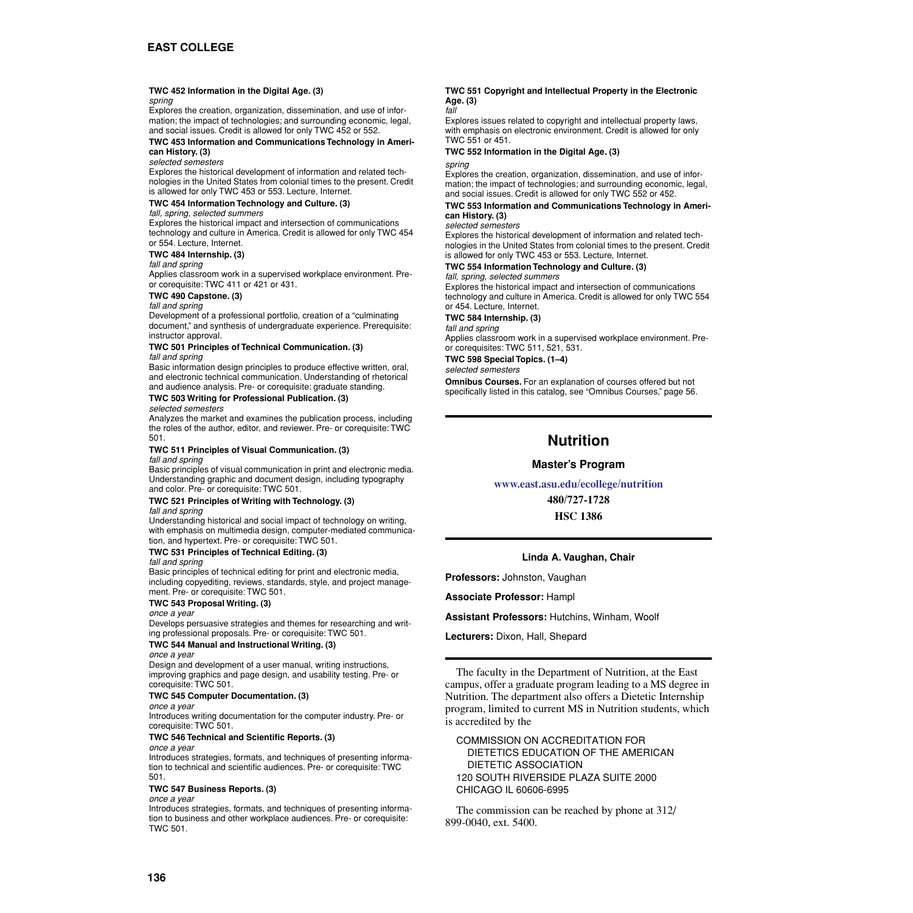### **TWC 452 Information in the Digital Age. (3)**

#### *spring*

Explores the creation, organization, dissemination, and use of information; the impact of technologies; and surrounding economic, legal, and social issues. Credit is allowed for only TWC 452 or 552.

### **TWC 453 Information and Communications Technology in Ameri-**

### **can History. (3)**

*selected semesters*

Explores the historical development of information and related technologies in the United States from colonial times to the present. Credit is allowed for only TWC 453 or 553. Lecture, Internet.

### **TWC 454 Information Technology and Culture. (3)**

### *fall, spring, selected summers*

Explores the historical impact and intersection of communications technology and culture in America. Credit is allowed for only TWC 454 or 554. Lecture, Internet.

### **TWC 484 Internship. (3)**

#### *fall and spring*

Applies classroom work in a supervised workplace environment. Preor corequisite: TWC 411 or 421 or 431.

### **TWC 490 Capstone. (3)**

*fall and spring*

Development of a professional portfolio, creation of a "culminating document," and synthesis of undergraduate experience. Prerequisite: instructor approval.

#### **TWC 501 Principles of Technical Communication. (3)** *fall and spring*

Basic information design principles to produce effective written, oral, and electronic technical communication. Understanding of rhetorical and audience analysis. Pre- or corequisite: graduate standing.

### **TWC 503 Writing for Professional Publication. (3)**

#### *selected semesters*

Analyzes the market and examines the publication process, including the roles of the author, editor, and reviewer. Pre- or corequisite: TWC 501.

## **TWC 511 Principles of Visual Communication. (3)**

### *fall and spring*

Basic principles of visual communication in print and electronic media. Understanding graphic and document design, including typography and color. Pre- or corequisite: TWC 501.

#### **TWC 521 Principles of Writing with Technology. (3)** *fall and spring*

Understanding historical and social impact of technology on writing, with emphasis on multimedia design, computer-mediated communication, and hypertext. Pre- or corequisite: TWC 501.

### **TWC 531 Principles of Technical Editing. (3)**

*fall and spring*

Basic principles of technical editing for print and electronic media, including copyediting, reviews, standards, style, and project management. Pre- or corequisite: TWC 501.

### **TWC 543 Proposal Writing. (3)**

#### *once a year*

Develops persuasive strategies and themes for researching and writing professional proposals. Pre- or corequisite: TWC 501.

### **TWC 544 Manual and Instructional Writing. (3)**

#### *once a year*

Design and development of a user manual, writing instructions, improving graphics and page design, and usability testing. Pre- or corequisite: TWC 501.

### **TWC 545 Computer Documentation. (3)**

*once a year*

Introduces writing documentation for the computer industry. Pre- or corequisite: TWC 501.

### **TWC 546 Technical and Scientific Reports. (3)**

#### *once a year*

Introduces strategies, formats, and techniques of presenting information to technical and scientific audiences. Pre- or corequisite: TWC 501.

### **TWC 547 Business Reports. (3)**

#### *once a year*

Introduces strategies, formats, and techniques of presenting information to business and other workplace audiences. Pre- or corequisite: TWC 501.

#### **TWC 551 Copyright and Intellectual Property in the Electronic Age. (3)** *fall*

Explores issues related to copyright and intellectual property laws, with emphasis on electronic environment. Credit is allowed for only TWC 551 or 451.

#### **TWC 552 Information in the Digital Age. (3)** *spring*

Explores the creation, organization, dissemination, and use of information; the impact of technologies; and surrounding economic, legal, and social issues. Credit is allowed for only TWC 552 or 452.

### **TWC 553 Information and Communications Technology in American History. (3)**

#### *selected semesters*

Explores the historical development of information and related technologies in the United States from colonial times to the present. Credit is allowed for only TWC 453 or 553. Lecture, Internet.

#### **TWC 554 Information Technology and Culture. (3)** *fall, spring, selected summers*

Explores the historical impact and intersection of communications technology and culture in America. Credit is allowed for only TWC 554 or 454. Lecture, Internet.

### **TWC 584 Internship. (3)**

*fall and spring*

Applies classroom work in a supervised workplace environment. Preor corequisites: TWC 511, 521, 531.

**TWC 598 Special Topics. (1–4)**

*selected semesters*

**Omnibus Courses.** For an explanation of courses offered but not specifically listed in this catalog, see "Omnibus Courses," page 56.

## **Nutrition**

### **Master's Program**

### **[www.east.asu.edu/ecollege/nutrition](http://www.east.asu.edu/ecollege/nutrition)**

**480/727-1728**

**HSC 1386**

### **Linda A. Vaughan, Chair**

**Professors:** Johnston, Vaughan

**Associate Professor:** Hampl

**Assistant Professors:** Hutchins, Winham, Woolf

**Lecturers:** Dixon, Hall, Shepard

The faculty in the Department of Nutrition, at the East campus, offer a graduate program leading to a MS degree in Nutrition. The department also offers a Dietetic Internship program, limited to current MS in Nutrition students, which is accredited by the

COMMISSION ON ACCREDITATION FOR DIETETICS EDUCATION OF THE AMERICAN DIETETIC ASSOCIATION 120 SOUTH RIVERSIDE PLAZA SUITE 2000 CHICAGO IL 60606-6995

The commission can be reached by phone at 312/ 899-0040, ext. 5400.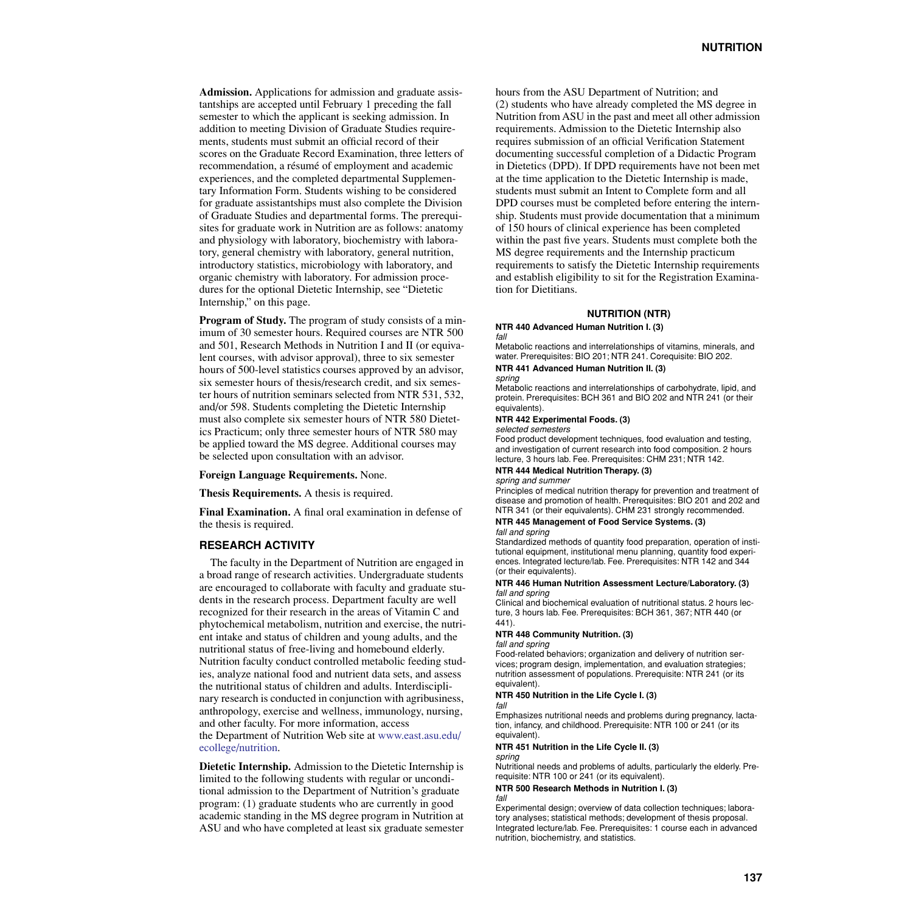**Admission.** Applications for admission and graduate assistantships are accepted until February 1 preceding the fall semester to which the applicant is seeking admission. In addition to meeting Division of Graduate Studies requirements, students must submit an official record of their scores on the Graduate Record Examination, three letters of recommendation, a résumé of employment and academic experiences, and the completed departmental Supplementary Information Form. Students wishing to be considered for graduate assistantships must also complete the Division of Graduate Studies and departmental forms. The prerequisites for graduate work in Nutrition are as follows: anatomy and physiology with laboratory, biochemistry with laboratory, general chemistry with laboratory, general nutrition, introductory statistics, microbiology with laboratory, and organic chemistry with laboratory. For admission procedures for the optional Dietetic Internship, see ["Dietetic](#page-10-0)  [Internship," on this page](#page-10-0).

**Program of Study.** The program of study consists of a minimum of 30 semester hours. Required courses are NTR 500 and 501, Research Methods in Nutrition I and II (or equivalent courses, with advisor approval), three to six semester hours of 500-level statistics courses approved by an advisor, six semester hours of thesis/research credit, and six semester hours of nutrition seminars selected from NTR 531, 532, and/or 598. Students completing the Dietetic Internship must also complete six semester hours of NTR 580 Dietetics Practicum; only three semester hours of NTR 580 may be applied toward the MS degree. Additional courses may be selected upon consultation with an advisor.

### **Foreign Language Requirements.** None.

**Thesis Requirements.** A thesis is required.

**Final Examination.** A final oral examination in defense of the thesis is required.

### **RESEARCH ACTIVITY**

The faculty in the Department of Nutrition are engaged in a broad range of research activities. Undergraduate students are encouraged to collaborate with faculty and graduate students in the research process. Department faculty are well recognized for their research in the areas of Vitamin C and phytochemical metabolism, nutrition and exercise, the nutrient intake and status of children and young adults, and the nutritional status of free-living and homebound elderly. Nutrition faculty conduct controlled metabolic feeding studies, analyze national food and nutrient data sets, and assess the nutritional status of children and adults. Interdisciplinary research is conducted in conjunction with agribusiness, anthropology, exercise and wellness, immunology, nursing, and other faculty. For more information, access the Department of Nutrition Web site at [www.east.asu.edu/](http://www.east.asu.edu/ecollege/nutrition) [ecollege/nutrition.](http://www.east.asu.edu/ecollege/nutrition)

<span id="page-10-0"></span>**Dietetic Internship.** Admission to the Dietetic Internship is limited to the following students with regular or unconditional admission to the Department of Nutrition's graduate program: (1) graduate students who are currently in good academic standing in the MS degree program in Nutrition at ASU and who have completed at least six graduate semester hours from the ASU Department of Nutrition; and (2) students who have already completed the MS degree in Nutrition from ASU in the past and meet all other admission requirements. Admission to the Dietetic Internship also requires submission of an official Verification Statement documenting successful completion of a Didactic Program in Dietetics (DPD). If DPD requirements have not been met at the time application to the Dietetic Internship is made, students must submit an Intent to Complete form and all DPD courses must be completed before entering the internship. Students must provide documentation that a minimum of 150 hours of clinical experience has been completed within the past five years. Students must complete both the MS degree requirements and the Internship practicum requirements to satisfy the Dietetic Internship requirements and establish eligibility to sit for the Registration Examination for Dietitians.

### **NUTRITION (NTR)**

#### **NTR 440 Advanced Human Nutrition I. (3)** *fall*

Metabolic reactions and interrelationships of vitamins, minerals, and water. Prerequisites: BIO 201; NTR 241. Corequisite: BIO 202.

### **NTR 441 Advanced Human Nutrition II. (3)**

#### *spring*

Metabolic reactions and interrelationships of carbohydrate, lipid, and protein. Prerequisites: BCH 361 and BIO 202 and NTR 241 (or their equivalents).

### **NTR 442 Experimental Foods. (3)**

#### *selected semesters*

Food product development techniques, food evaluation and testing, and investigation of current research into food composition. 2 hours lecture, 3 hours lab. Fee. Prerequisites: CHM 231; NTR 142.

#### **NTR 444 Medical Nutrition Therapy. (3)**

#### *spring and summer*

Principles of medical nutrition therapy for prevention and treatment of disease and promotion of health. Prerequisites: BIO 201 and 202 and NTR 341 (or their equivalents). CHM 231 strongly recommended.

### **NTR 445 Management of Food Service Systems. (3)**

*fall and spring*

Standardized methods of quantity food preparation, operation of institutional equipment, institutional menu planning, quantity food experiences. Integrated lecture/lab. Fee. Prerequisites: NTR 142 and 344 (or their equivalents).

#### **NTR 446 Human Nutrition Assessment Lecture/Laboratory. (3)** *fall and spring*

Clinical and biochemical evaluation of nutritional status. 2 hours lecture, 3 hours lab. Fee. Prerequisites: BCH 361, 367; NTR 440 (or 441).

### **NTR 448 Community Nutrition. (3)**

*fall and spring*

Food-related behaviors; organization and delivery of nutrition services; program design, implementation, and evaluation strategies; nutrition assessment of populations. Prerequisite: NTR 241 (or its equivalent).

#### **NTR 450 Nutrition in the Life Cycle I. (3)** *fall*

Emphasizes nutritional needs and problems during pregnancy, lactation, infancy, and childhood. Prerequisite: NTR 100 or 241 (or its equivalent).

#### **NTR 451 Nutrition in the Life Cycle II. (3)** *spring*

Nutritional needs and problems of adults, particularly the elderly. Prerequisite: NTR 100 or 241 (or its equivalent).

#### **NTR 500 Research Methods in Nutrition I. (3)** *fall*

Experimental design; overview of data collection techniques; laboratory analyses; statistical methods; development of thesis proposal. Integrated lecture/lab. Fee. Prerequisites: 1 course each in advanced nutrition, biochemistry, and statistics.